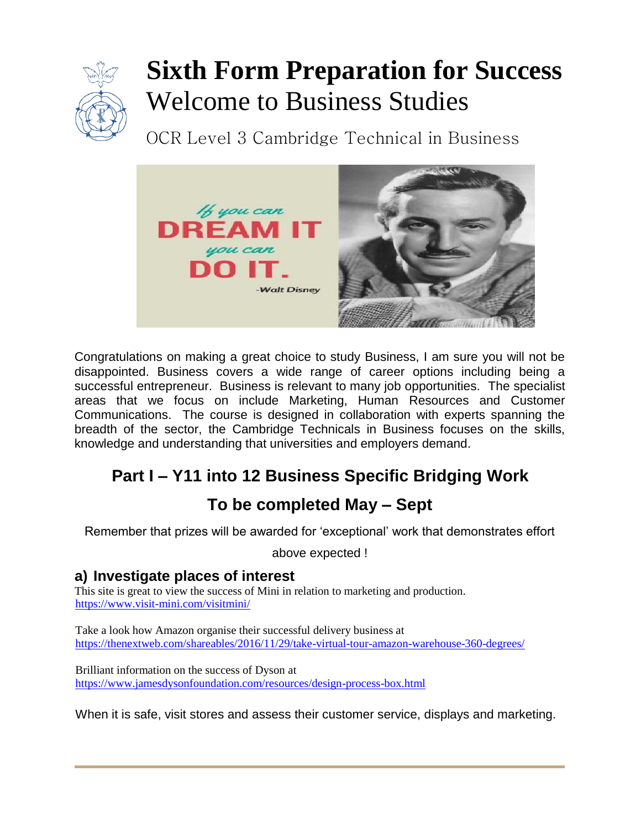

# **Sixth Form Preparation for Success** Welcome to Business Studies

OCR Level 3 Cambridge Technical in Business



Congratulations on making a great choice to study Business, I am sure you will not be disappointed. Business covers a wide range of career options including being a successful entrepreneur. Business is relevant to many job opportunities. The specialist areas that we focus on include Marketing, Human Resources and Customer Communications. The course is designed in collaboration with experts spanning the breadth of the sector, the Cambridge Technicals in Business focuses on the skills, knowledge and understanding that universities and employers demand.

# **Part I – Y11 into 12 Business Specific Bridging Work**

# **To be completed May – Sept**

Remember that prizes will be awarded for 'exceptional' work that demonstrates effort

above expected !

# **a) Investigate places of interest**

This site is great to view the success of Mini in relation to marketing and production. <https://www.visit-mini.com/visitmini/>

Take a look how Amazon organise their successful delivery business at <https://thenextweb.com/shareables/2016/11/29/take-virtual-tour-amazon-warehouse-360-degrees/>

Brilliant information on the success of Dyson at <https://www.jamesdysonfoundation.com/resources/design-process-box.html>

When it is safe, visit stores and assess their customer service, displays and marketing.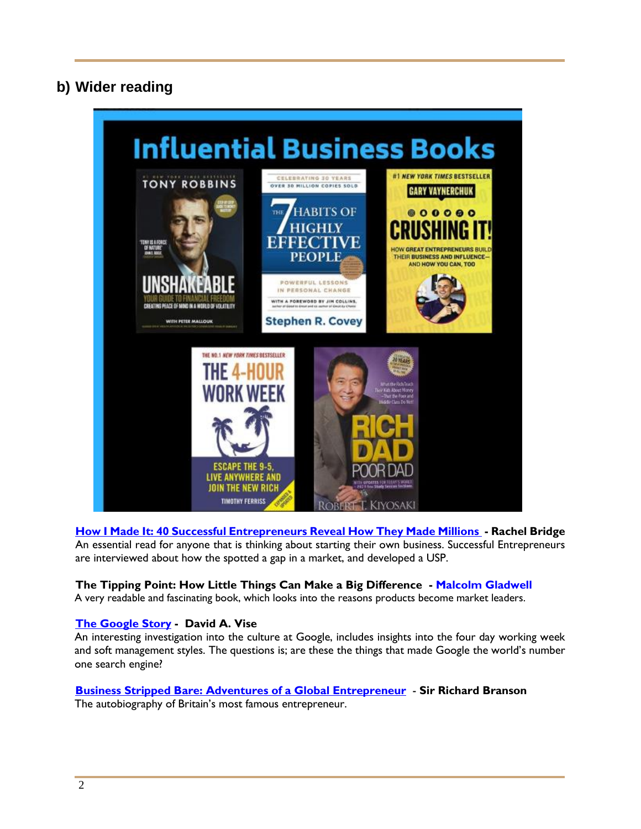# **b) Wider reading**



**[How I Made It: 40 Successful Entrepreneurs Reveal How They Made Millions](http://www.amazon.co.uk/How-Made-Successful-Entrepreneurs-Millions/dp/0749460520/ref=sr_1_3?s=books&ie=UTF8&qid=1331191816&sr=1-3) - Rachel Bridge** An essential read for anyone that is thinking about starting their own business. Successful Entrepreneurs are interviewed about how the spotted a gap in a market, and developed a USP.

#### **The Tipping Point: How Little Things Can Make a Big Difference - [Malcolm Gladwell](http://www.amazon.co.uk/Malcolm-Gladwell/e/B000APOE98/ref=ntt_athr_dp_pel_1)**

A very readable and fascinating book, which looks into the reasons products become market leaders.

#### **[The Google Story](http://www.amazon.co.uk/Google-Story-David-Vise/dp/0330508121/ref=sr_1_1?s=books&ie=UTF8&qid=1331191783&sr=1-1) - David A. Vise**

An interesting investigation into the culture at Google, includes insights into the four day working week and soft management styles. The questions is; are these the things that made Google the world's number one search engine?

# **[Business Stripped Bare: Adventures of a Global Entrepreneur](http://www.amazon.co.uk/Business-Stripped-Bare-Adventures-Entrepreneur/dp/0753515032/ref=sr_1_4?s=books&ie=UTF8&qid=1331191816&sr=1-4)** - **Sir Richard Branson**

The autobiography of Britain's most famous entrepreneur.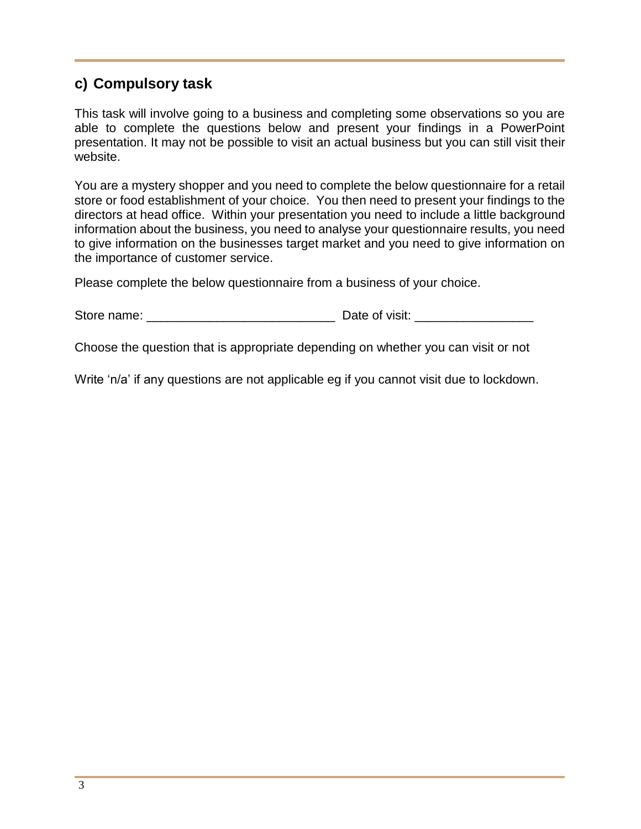# **c) Compulsory task**

This task will involve going to a business and completing some observations so you are able to complete the questions below and present your findings in a PowerPoint presentation. It may not be possible to visit an actual business but you can still visit their website.

You are a mystery shopper and you need to complete the below questionnaire for a retail store or food establishment of your choice. You then need to present your findings to the directors at head office. Within your presentation you need to include a little background information about the business, you need to analyse your questionnaire results, you need to give information on the businesses target market and you need to give information on the importance of customer service.

Please complete the below questionnaire from a business of your choice.

| Store name: | Date of visit: |  |
|-------------|----------------|--|
|             |                |  |

Choose the question that is appropriate depending on whether you can visit or not

Write 'n/a' if any questions are not applicable eg if you cannot visit due to lockdown.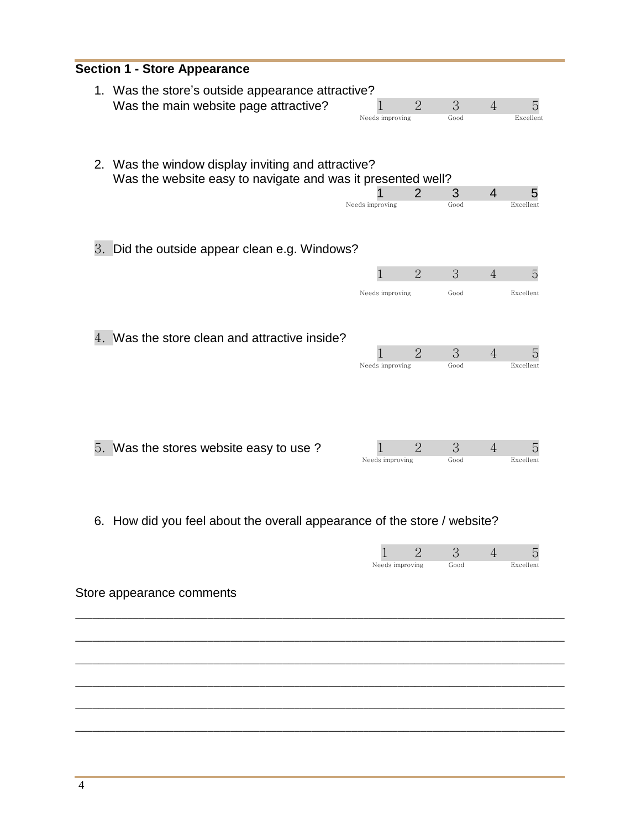|    | <b>Section 1 - Store Appearance</b>                                   |                 |                |      |                |           |  |
|----|-----------------------------------------------------------------------|-----------------|----------------|------|----------------|-----------|--|
|    |                                                                       |                 |                |      |                |           |  |
|    | 1. Was the store's outside appearance attractive?                     |                 |                |      |                |           |  |
|    | Was the main website page attractive?                                 |                 | $\overline{2}$ | 3    | $\overline{4}$ | 5         |  |
|    |                                                                       | Needs improving |                | Good |                | Excellent |  |
|    |                                                                       |                 |                |      |                |           |  |
|    |                                                                       |                 |                |      |                |           |  |
| 2. | Was the window display inviting and attractive?                       |                 |                |      |                |           |  |
|    | Was the website easy to navigate and was it presented well?           |                 |                |      |                |           |  |
|    |                                                                       |                 | 2              | 3    | 4              | 5         |  |
|    |                                                                       | Needs improving |                | Good |                | Excellent |  |
|    |                                                                       |                 |                |      |                |           |  |
|    |                                                                       |                 |                |      |                |           |  |
| 3. | Did the outside appear clean e.g. Windows?                            |                 |                |      |                |           |  |
|    |                                                                       |                 |                |      |                |           |  |
|    |                                                                       | 1               | $\overline{2}$ | 3    | $\overline{4}$ | 5         |  |
|    |                                                                       |                 |                |      |                |           |  |
|    |                                                                       | Needs improving |                | Good |                | Excellent |  |
|    |                                                                       |                 |                |      |                |           |  |
|    |                                                                       |                 |                |      |                |           |  |
| 4. | Was the store clean and attractive inside?                            |                 |                |      |                |           |  |
|    |                                                                       | 1               | $\overline{2}$ | 3    | $\overline{4}$ | 5         |  |
|    |                                                                       | Needs improving |                | Good |                | Excellent |  |
|    |                                                                       |                 |                |      |                |           |  |
|    |                                                                       |                 |                |      |                |           |  |
|    |                                                                       |                 |                |      |                |           |  |
|    |                                                                       |                 |                |      |                |           |  |
|    |                                                                       |                 |                |      |                |           |  |
|    | 5. Was the stores website easy to use?                                |                 | $\overline{2}$ | 3    | $\overline{4}$ | 5         |  |
|    |                                                                       | Needs improving |                | Good |                | Excellent |  |
|    |                                                                       |                 |                |      |                |           |  |
|    |                                                                       |                 |                |      |                |           |  |
|    |                                                                       |                 |                |      |                |           |  |
| 6. | How did you feel about the overall appearance of the store / website? |                 |                |      |                |           |  |
|    |                                                                       |                 |                |      |                |           |  |
|    |                                                                       |                 | $\overline{2}$ | 3    | 4              | 5         |  |
|    |                                                                       | Needs improving |                | Good |                | Excellent |  |
|    |                                                                       |                 |                |      |                |           |  |
|    | Store appearance comments                                             |                 |                |      |                |           |  |
|    |                                                                       |                 |                |      |                |           |  |
|    |                                                                       |                 |                |      |                |           |  |
|    |                                                                       |                 |                |      |                |           |  |
|    |                                                                       |                 |                |      |                |           |  |
|    |                                                                       |                 |                |      |                |           |  |
|    |                                                                       |                 |                |      |                |           |  |
|    |                                                                       |                 |                |      |                |           |  |
|    |                                                                       |                 |                |      |                |           |  |
|    |                                                                       |                 |                |      |                |           |  |

\_\_\_\_\_\_\_\_\_\_\_\_\_\_\_\_\_\_\_\_\_\_\_\_\_\_\_\_\_\_\_\_\_\_\_\_\_\_\_\_\_\_\_\_\_\_\_\_\_\_\_\_\_\_\_\_\_\_\_\_\_\_\_\_\_\_\_\_\_\_\_\_\_\_\_\_\_\_\_\_\_\_\_\_\_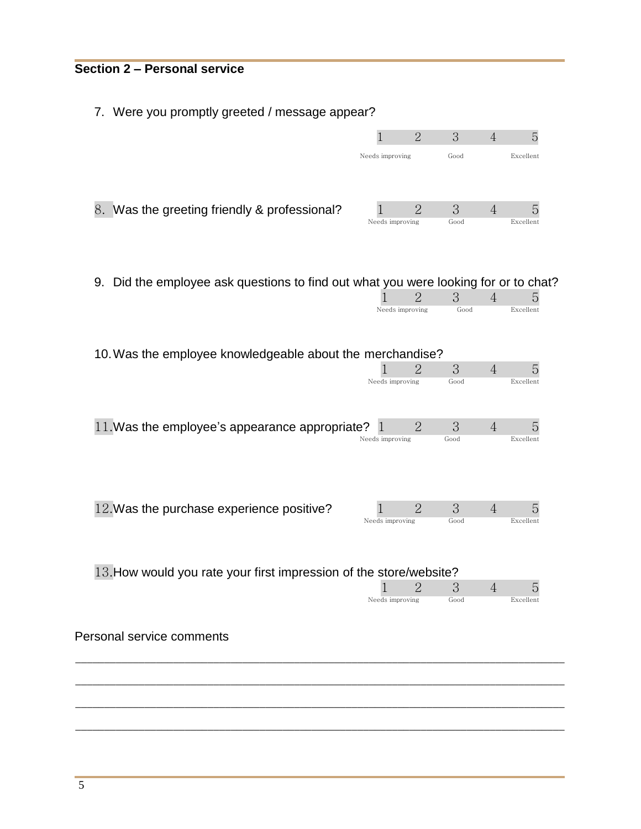#### **Section 2 – Personal service**

7. Were you promptly greeted / message appear?

|                                              |                 | $\overline{2}$ | 3    | 4 | h         |
|----------------------------------------------|-----------------|----------------|------|---|-----------|
|                                              | Needs improving |                | Good |   | Excellent |
|                                              |                 |                |      |   |           |
| 8. Was the greeting friendly & professional? |                 | 2              | 3    |   |           |
|                                              | Needs improving |                | Good |   | Excellent |

9. Did the employee ask questions to find out what you were looking for or to chat?

|                                                                    |                 | $\overline{2}$ | 3    | 4              | 5         |
|--------------------------------------------------------------------|-----------------|----------------|------|----------------|-----------|
|                                                                    | Needs improving |                | Good |                | Excellent |
| 10. Was the employee knowledgeable about the merchandise?          |                 |                |      |                |           |
|                                                                    |                 | 2              | 3    | $\overline{4}$ | 5         |
|                                                                    | Needs improving |                | Good |                | Excellent |
| 11. Was the employee's appearance appropriate?                     | П               | $\overline{2}$ | 3    | $\overline{4}$ | 5         |
|                                                                    | Needs improving |                | Good |                | Excellent |
| 12. Was the purchase experience positive?                          |                 | $\mathcal{D}$  | 3    | $\overline{4}$ | 5         |
|                                                                    | Needs improving |                | Good |                | Excellent |
| 13. How would you rate your first impression of the store/website? |                 |                |      |                |           |
|                                                                    |                 | 2              | 3    | $\overline{4}$ | 5         |
|                                                                    | Needs improving |                | Good |                | Excellent |
| Personal service comments                                          |                 |                |      |                |           |

\_\_\_\_\_\_\_\_\_\_\_\_\_\_\_\_\_\_\_\_\_\_\_\_\_\_\_\_\_\_\_\_\_\_\_\_\_\_\_\_\_\_\_\_\_\_\_\_\_\_\_\_\_\_\_\_\_\_\_\_\_\_\_\_\_\_\_\_\_\_\_\_\_\_\_\_\_\_\_\_\_\_\_\_\_

\_\_\_\_\_\_\_\_\_\_\_\_\_\_\_\_\_\_\_\_\_\_\_\_\_\_\_\_\_\_\_\_\_\_\_\_\_\_\_\_\_\_\_\_\_\_\_\_\_\_\_\_\_\_\_\_\_\_\_\_\_\_\_\_\_\_\_\_\_\_\_\_\_\_\_\_\_\_\_\_\_\_\_\_\_

\_\_\_\_\_\_\_\_\_\_\_\_\_\_\_\_\_\_\_\_\_\_\_\_\_\_\_\_\_\_\_\_\_\_\_\_\_\_\_\_\_\_\_\_\_\_\_\_\_\_\_\_\_\_\_\_\_\_\_\_\_\_\_\_\_\_\_\_\_\_\_\_\_\_\_\_\_\_\_\_\_\_\_\_\_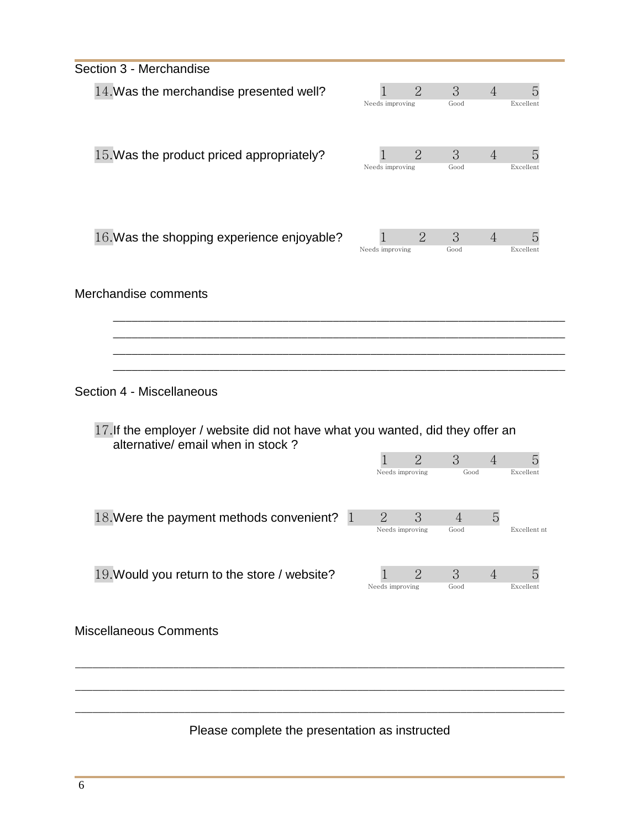| Section 3 - Merchandise                                                                                            |                                                       |                             |                |
|--------------------------------------------------------------------------------------------------------------------|-------------------------------------------------------|-----------------------------|----------------|
| 14. Was the merchandise presented well?                                                                            | $\overline{2}$<br>Needs improving                     | 3<br>$\overline{4}$<br>Good | 5<br>Excellent |
| 15. Was the product priced appropriately?                                                                          | $\overline{2}$<br>Needs improving                     | 3<br>$\overline{4}$<br>Good | 5<br>Excellent |
| 16. Was the shopping experience enjoyable?                                                                         | $\overline{2}$<br>Needs improving                     | 3<br>$\overline{4}$<br>Good | 5<br>Excellent |
| Merchandise comments                                                                                               |                                                       |                             |                |
| Section 4 - Miscellaneous                                                                                          |                                                       |                             |                |
| 17. If the employer / website did not have what you wanted, did they offer an<br>alternative/ email when in stock? | $\overline{2}$<br>Needs improving                     | 3<br>$\overline{4}$<br>Good | 5<br>Excellent |
| 18. Were the payment methods convenient?                                                                           | $\overline{2}$<br>3<br>$\mathbf 1$<br>Needs improving | 5<br>$\overline{4}$<br>Good | Excellent nt   |
| 19. Would you return to the store / website?                                                                       | $\overline{2}$<br>Needs improving                     | 3<br>4<br>Good              | 5<br>Excellent |
| <b>Miscellaneous Comments</b>                                                                                      |                                                       |                             |                |
|                                                                                                                    |                                                       |                             |                |
| Please complete the presentation as instructed                                                                     |                                                       |                             |                |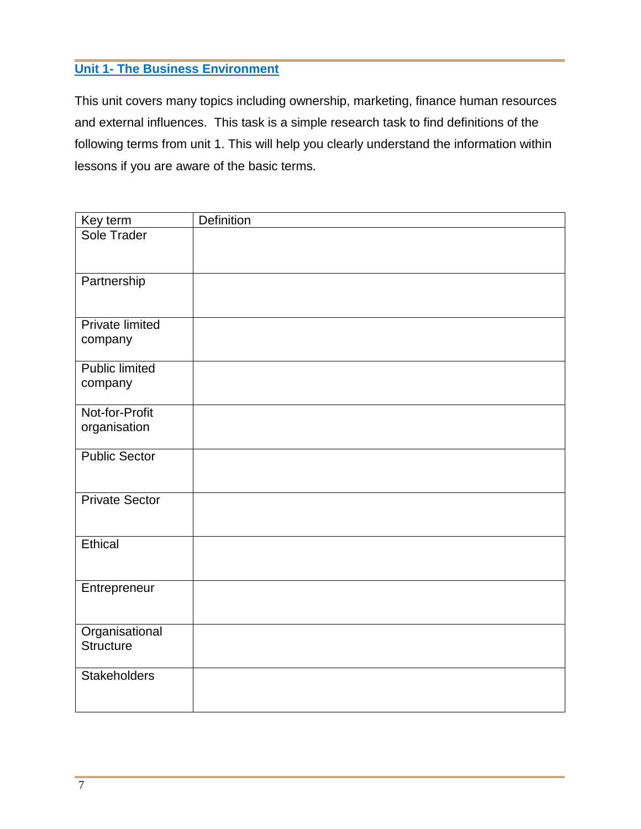#### **Unit 1- The Business Environment**

This unit covers many topics including ownership, marketing, finance human resources and external influences. This task is a simple research task to find definitions of the following terms from unit 1. This will help you clearly understand the information within lessons if you are aware of the basic terms.

| Key term                          | <b>Definition</b> |
|-----------------------------------|-------------------|
| Sole Trader                       |                   |
| Partnership                       |                   |
| <b>Private limited</b><br>company |                   |
| <b>Public limited</b><br>company  |                   |
| Not-for-Profit<br>organisation    |                   |
| <b>Public Sector</b>              |                   |
| <b>Private Sector</b>             |                   |
| Ethical                           |                   |
| Entrepreneur                      |                   |
| Organisational<br>Structure       |                   |
| <b>Stakeholders</b>               |                   |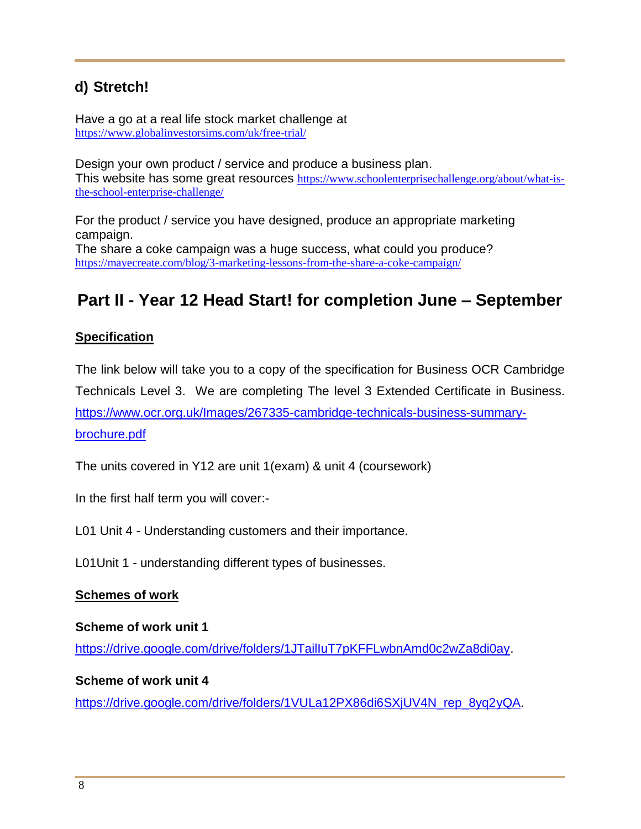# **d) Stretch!**

Have a go at a real life stock market challenge at <https://www.globalinvestorsims.com/uk/free-trial/>

Design your own product / service and produce a business plan. This website has some great resources [https://www.schoolenterprisechallenge.org/about/what-is](https://www.schoolenterprisechallenge.org/about/what-is-the-school-enterprise-challenge/)[the-school-enterprise-challenge/](https://www.schoolenterprisechallenge.org/about/what-is-the-school-enterprise-challenge/)

For the product / service you have designed, produce an appropriate marketing campaign. The share a coke campaign was a huge success, what could you produce? <https://mayecreate.com/blog/3-marketing-lessons-from-the-share-a-coke-campaign/>

# **Part II - Year 12 Head Start! for completion June – September**

#### **Specification**

The link below will take you to a copy of the specification for Business OCR Cambridge Technicals Level 3. We are completing The level 3 Extended Certificate in Business. [https://www.ocr.org.uk/Images/267335-cambridge-technicals-business-summary](https://www.ocr.org.uk/Images/267335-cambridge-technicals-business-summary-brochure.pdf)[brochure.pdf](https://www.ocr.org.uk/Images/267335-cambridge-technicals-business-summary-brochure.pdf)

The units covered in Y12 are unit 1(exam) & unit 4 (coursework)

In the first half term you will cover:-

L01 Unit 4 - Understanding customers and their importance.

L01Unit 1 - understanding different types of businesses.

#### **Schemes of work**

**Scheme of work unit 1**

[https://drive.google.com/drive/folders/1JTailIuT7pKFFLwbnAmd0c2wZa8di0ay.](https://drive.google.com/drive/folders/1JTailIuT7pKFFLwbnAmd0c2wZa8di0ay)

#### **Scheme of work unit 4**

[https://drive.google.com/drive/folders/1VULa12PX86di6SXjUV4N\\_rep\\_8yq2yQA.](https://drive.google.com/drive/folders/1VULa12PX86di6SXjUV4N_rep_8yq2yQA)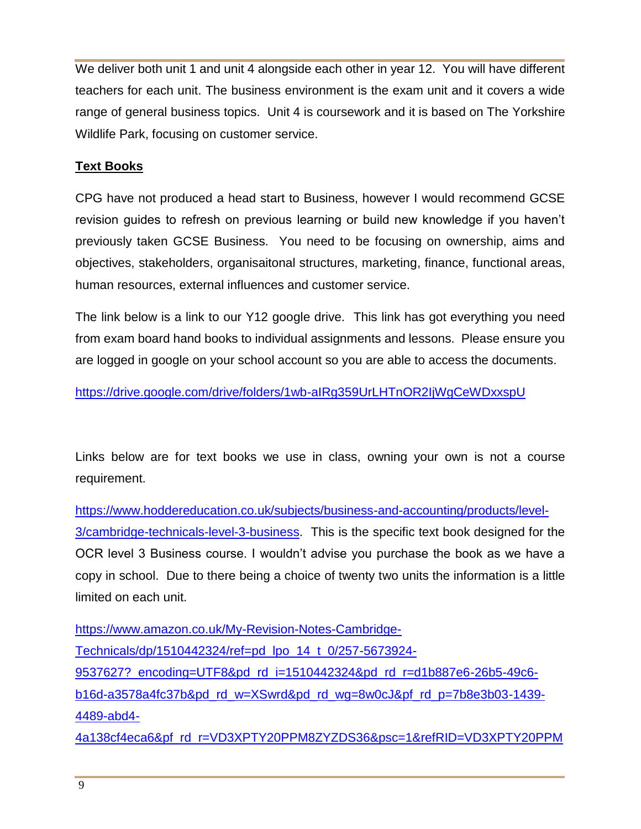We deliver both unit 1 and unit 4 alongside each other in year 12. You will have different teachers for each unit. The business environment is the exam unit and it covers a wide range of general business topics. Unit 4 is coursework and it is based on The Yorkshire Wildlife Park, focusing on customer service.

#### **Text Books**

CPG have not produced a head start to Business, however I would recommend GCSE revision guides to refresh on previous learning or build new knowledge if you haven't previously taken GCSE Business. You need to be focusing on ownership, aims and objectives, stakeholders, organisaitonal structures, marketing, finance, functional areas, human resources, external influences and customer service.

The link below is a link to our Y12 google drive. This link has got everything you need from exam board hand books to individual assignments and lessons. Please ensure you are logged in google on your school account so you are able to access the documents.

<https://drive.google.com/drive/folders/1wb-aIRg359UrLHTnOR2IjWgCeWDxxspU>

Links below are for text books we use in class, owning your own is not a course requirement.

[https://www.hoddereducation.co.uk/subjects/business-and-accounting/products/level-](https://www.hoddereducation.co.uk/subjects/business-and-accounting/products/level-3/cambridge-technicals-level-3-business)[3/cambridge-technicals-level-3-business.](https://www.hoddereducation.co.uk/subjects/business-and-accounting/products/level-3/cambridge-technicals-level-3-business) This is the specific text book designed for the OCR level 3 Business course. I wouldn't advise you purchase the book as we have a copy in school. Due to there being a choice of twenty two units the information is a little limited on each unit.

[https://www.amazon.co.uk/My-Revision-Notes-Cambridge-](https://www.amazon.co.uk/My-Revision-Notes-Cambridge-Technicals/dp/1510442324/ref=pd_lpo_14_t_0/257-5673924-9537627?_encoding=UTF8&pd_rd_i=1510442324&pd_rd_r=d1b887e6-26b5-49c6-b16d-a3578a4fc37b&pd_rd_w=XSwrd&pd_rd_wg=8w0cJ&pf_rd_p=7b8e3b03-1439-4489-abd4-4a138cf4eca6&pf_rd_r=VD3XPTY20PPM8ZYZDS36&psc=1&refRID=VD3XPTY20PPM8ZYZDS36)[Technicals/dp/1510442324/ref=pd\\_lpo\\_14\\_t\\_0/257-5673924-](https://www.amazon.co.uk/My-Revision-Notes-Cambridge-Technicals/dp/1510442324/ref=pd_lpo_14_t_0/257-5673924-9537627?_encoding=UTF8&pd_rd_i=1510442324&pd_rd_r=d1b887e6-26b5-49c6-b16d-a3578a4fc37b&pd_rd_w=XSwrd&pd_rd_wg=8w0cJ&pf_rd_p=7b8e3b03-1439-4489-abd4-4a138cf4eca6&pf_rd_r=VD3XPTY20PPM8ZYZDS36&psc=1&refRID=VD3XPTY20PPM8ZYZDS36) [9537627?\\_encoding=UTF8&pd\\_rd\\_i=1510442324&pd\\_rd\\_r=d1b887e6-26b5-49c6](https://www.amazon.co.uk/My-Revision-Notes-Cambridge-Technicals/dp/1510442324/ref=pd_lpo_14_t_0/257-5673924-9537627?_encoding=UTF8&pd_rd_i=1510442324&pd_rd_r=d1b887e6-26b5-49c6-b16d-a3578a4fc37b&pd_rd_w=XSwrd&pd_rd_wg=8w0cJ&pf_rd_p=7b8e3b03-1439-4489-abd4-4a138cf4eca6&pf_rd_r=VD3XPTY20PPM8ZYZDS36&psc=1&refRID=VD3XPTY20PPM8ZYZDS36) [b16d-a3578a4fc37b&pd\\_rd\\_w=XSwrd&pd\\_rd\\_wg=8w0cJ&pf\\_rd\\_p=7b8e3b03-1439-](https://www.amazon.co.uk/My-Revision-Notes-Cambridge-Technicals/dp/1510442324/ref=pd_lpo_14_t_0/257-5673924-9537627?_encoding=UTF8&pd_rd_i=1510442324&pd_rd_r=d1b887e6-26b5-49c6-b16d-a3578a4fc37b&pd_rd_w=XSwrd&pd_rd_wg=8w0cJ&pf_rd_p=7b8e3b03-1439-4489-abd4-4a138cf4eca6&pf_rd_r=VD3XPTY20PPM8ZYZDS36&psc=1&refRID=VD3XPTY20PPM8ZYZDS36) [4489-abd4-](https://www.amazon.co.uk/My-Revision-Notes-Cambridge-Technicals/dp/1510442324/ref=pd_lpo_14_t_0/257-5673924-9537627?_encoding=UTF8&pd_rd_i=1510442324&pd_rd_r=d1b887e6-26b5-49c6-b16d-a3578a4fc37b&pd_rd_w=XSwrd&pd_rd_wg=8w0cJ&pf_rd_p=7b8e3b03-1439-4489-abd4-4a138cf4eca6&pf_rd_r=VD3XPTY20PPM8ZYZDS36&psc=1&refRID=VD3XPTY20PPM8ZYZDS36)

[4a138cf4eca6&pf\\_rd\\_r=VD3XPTY20PPM8ZYZDS36&psc=1&refRID=VD3XPTY20PPM](https://www.amazon.co.uk/My-Revision-Notes-Cambridge-Technicals/dp/1510442324/ref=pd_lpo_14_t_0/257-5673924-9537627?_encoding=UTF8&pd_rd_i=1510442324&pd_rd_r=d1b887e6-26b5-49c6-b16d-a3578a4fc37b&pd_rd_w=XSwrd&pd_rd_wg=8w0cJ&pf_rd_p=7b8e3b03-1439-4489-abd4-4a138cf4eca6&pf_rd_r=VD3XPTY20PPM8ZYZDS36&psc=1&refRID=VD3XPTY20PPM8ZYZDS36)